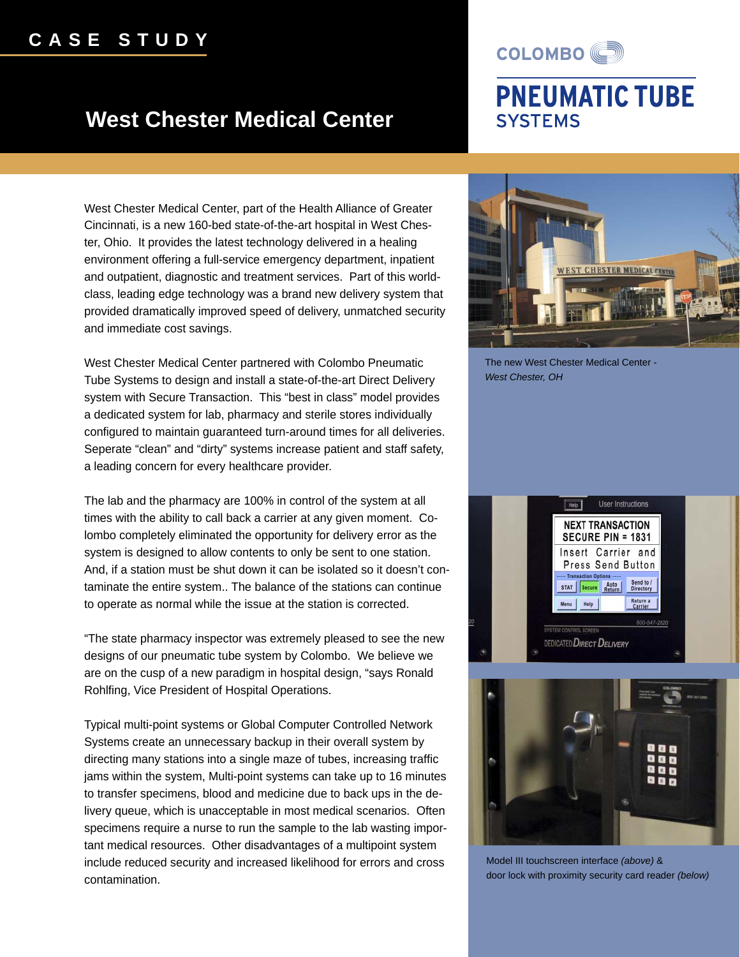## **CASE STUDY**

## **West Chester Medical Center**

COLOMBO<sup>(C)</sup>

## **PNEUMATIC TUBE SYSTEMS**

West Chester Medical Center, part of the Health Alliance of Greater Cincinnati, is a new 160-bed state-of-the-art hospital in West Chester, Ohio. It provides the latest technology delivered in a healing environment offering a full-service emergency department, inpatient and outpatient, diagnostic and treatment services. Part of this worldclass, leading edge technology was a brand new delivery system that provided dramatically improved speed of delivery, unmatched security and immediate cost savings.

West Chester Medical Center partnered with Colombo Pneumatic Tube Systems to design and install a state-of-the-art Direct Delivery system with Secure Transaction. This "best in class" model provides a dedicated system for lab, pharmacy and sterile stores individually configured to maintain guaranteed turn-around times for all deliveries. Seperate "clean" and "dirty" systems increase patient and staff safety, a leading concern for every healthcare provider.

The lab and the pharmacy are 100% in control of the system at all times with the ability to call back a carrier at any given moment. Colombo completely eliminated the opportunity for delivery error as the system is designed to allow contents to only be sent to one station. And, if a station must be shut down it can be isolated so it doesn't contaminate the entire system.. The balance of the stations can continue to operate as normal while the issue at the station is corrected.

"The state pharmacy inspector was extremely pleased to see the new designs of our pneumatic tube system by Colombo. We believe we are on the cusp of a new paradigm in hospital design, "says Ronald Rohlfing, Vice President of Hospital Operations.

Typical multi-point systems or Global Computer Controlled Network Systems create an unnecessary backup in their overall system by directing many stations into a single maze of tubes, increasing traffic jams within the system, Multi-point systems can take up to 16 minutes to transfer specimens, blood and medicine due to back ups in the delivery queue, which is unacceptable in most medical scenarios. Often specimens require a nurse to run the sample to the lab wasting important medical resources. Other disadvantages of a multipoint system include reduced security and increased likelihood for errors and cross contamination.



The new West Chester Medical Center - *West Chester, OH*





Model III touchscreen interface *(above)* & door lock with proximity security card reader *(below)*